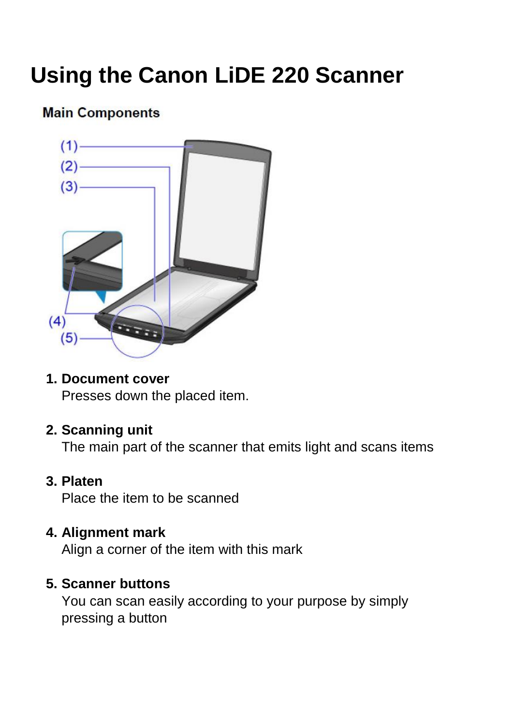# **Using the Canon LiDE 220 Scanner**

## **Main Components**



## **1. Document cover**

Presses down the placed item.

## **2. Scanning unit**

The main part of the scanner that emits light and scans items

## **3. Platen**

Place the item to be scanned

## **4. Alignment mark**

Align a corner of the item with this mark

## **5. Scanner buttons**

You can scan easily according to your purpose by simply pressing a button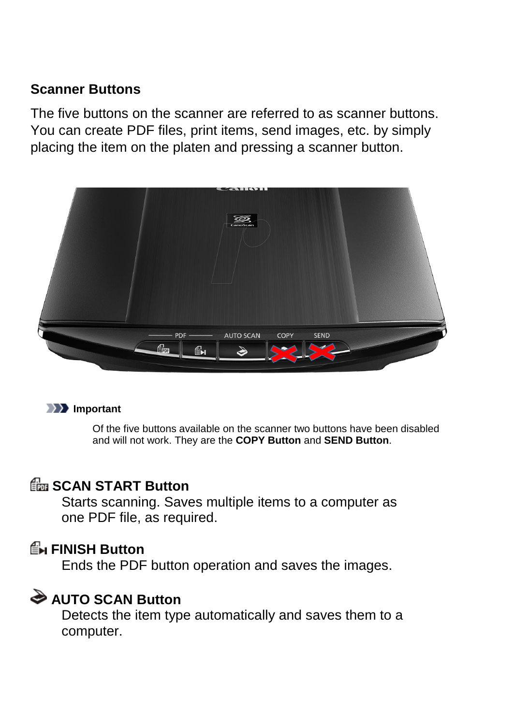## **Scanner Buttons**

The five buttons on the scanner are referred to as scanner buttons. You can create PDF files, print items, send images, etc. by simply placing the item on the platen and pressing a scanner button.



### **Important**

Of the five buttons available on the scanner two buttons have been disabled and will not work. They are the **COPY Button** and **SEND Button**.

## **Extra SCAN START Button**

Starts scanning. Saves multiple items to a computer as one PDF file, as required.

## **FINISH Button**

Ends the PDF button operation and saves the images.

## **AUTO SCAN Button**

Detects the item type automatically and saves them to a computer.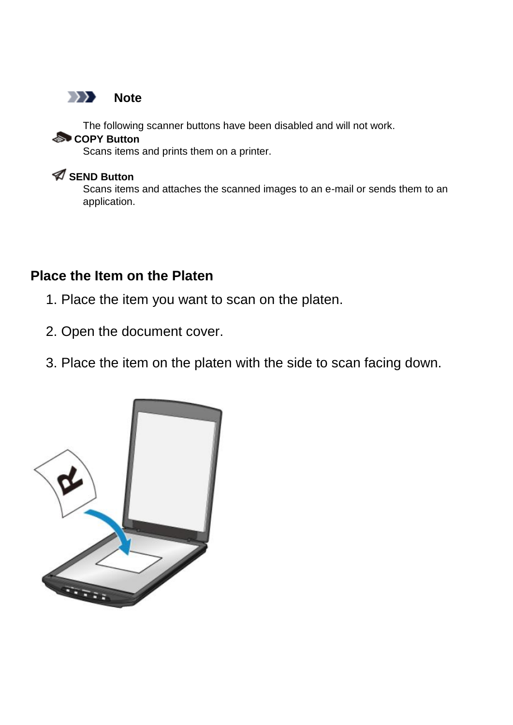

The following scanner buttons have been disabled and will not work.

### **COPY Button**

Scans items and prints them on a printer.

## **SEND Button**

Scans items and attaches the scanned images to an e-mail or sends them to an application.

## **Place the Item on the Platen**

- 1. Place the item you want to scan on the platen.
- 2. Open the document cover.
- 3. Place the item on the platen with the side to scan facing down.

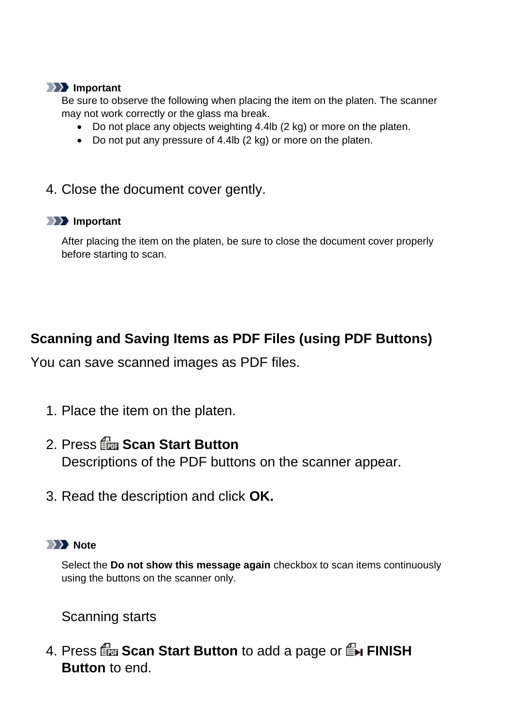#### **IMP** Important

Be sure to observe the following when placing the item on the platen. The scanner may not work correctly or the glass ma break.

- Do not place any objects weighting 4.4lb (2 kg) or more on the platen.
- Do not put any pressure of 4.4lb (2 kg) or more on the platen.
- 4. Close the document cover gently.

### **IMP** Important

After placing the item on the platen, be sure to close the document cover properly before starting to scan.

## **Scanning and Saving Items as PDF Files (using PDF Buttons)**

You can save scanned images as PDF files.

- 1. Place the item on the platen.
- 2. Press **Scan Start Button** Descriptions of the PDF buttons on the scanner appear.
- 3. Read the description and click **OK.**

## **Note**

Select the **Do not show this message again** checkbox to scan items continuously using the buttons on the scanner only.

Scanning starts

4. Press **For Scan Start Button** to add a page or **F**H FINISH **Button** to end.